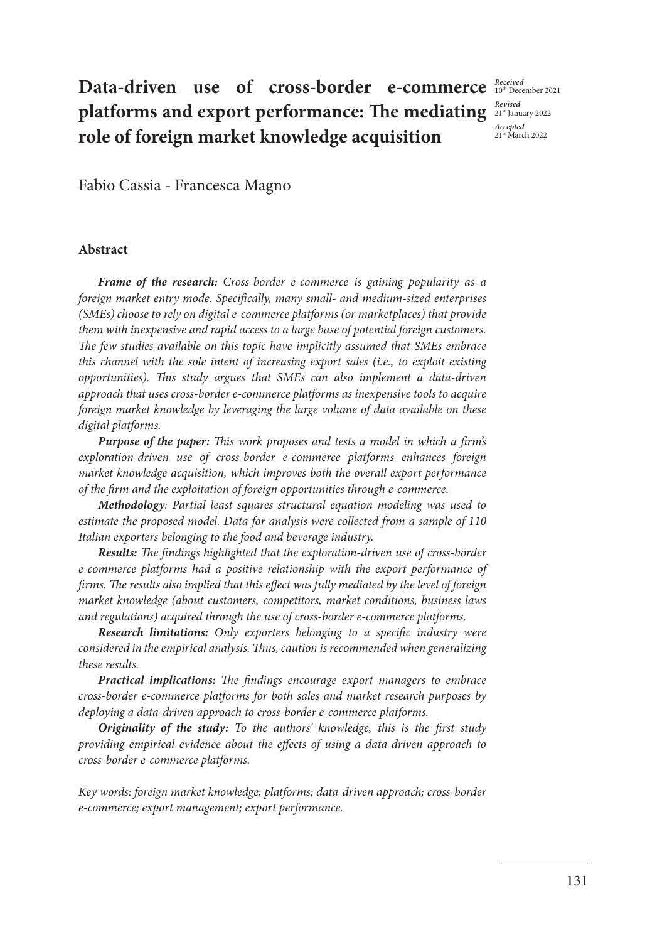## **Data-driven use of cross-border e-commerce**  $_{10^{\text{th}}\text{December 2021}}$ **platforms and export performance: The mediating role of foreign market knowledge acquisition**

*Revised* 21st January 2022 *Accepted*  21st March 2022

Fabio Cassia - Francesca Magno

### **Abstract**

*Frame of the research: Cross-border e-commerce is gaining popularity as a foreign market entry mode. Specifically, many small- and medium-sized enterprises (SMEs) choose to rely on digital e-commerce platforms (or marketplaces) that provide them with inexpensive and rapid access to a large base of potential foreign customers. The few studies available on this topic have implicitly assumed that SMEs embrace this channel with the sole intent of increasing export sales (i.e., to exploit existing opportunities). This study argues that SMEs can also implement a data-driven approach that uses cross-border e-commerce platforms as inexpensive tools to acquire foreign market knowledge by leveraging the large volume of data available on these digital platforms.*

*Purpose of the paper: This work proposes and tests a model in which a firm's exploration-driven use of cross-border e-commerce platforms enhances foreign market knowledge acquisition, which improves both the overall export performance of the firm and the exploitation of foreign opportunities through e-commerce.*

*Methodology: Partial least squares structural equation modeling was used to estimate the proposed model. Data for analysis were collected from a sample of 110 Italian exporters belonging to the food and beverage industry.*

*Results: The findings highlighted that the exploration-driven use of cross-border e-commerce platforms had a positive relationship with the export performance of firms. The results also implied that this effect was fully mediated by the level of foreign market knowledge (about customers, competitors, market conditions, business laws and regulations) acquired through the use of cross-border e-commerce platforms.*

*Research limitations: Only exporters belonging to a specific industry were considered in the empirical analysis. Thus, caution is recommended when generalizing these results.*

*Practical implications: The findings encourage export managers to embrace cross-border e-commerce platforms for both sales and market research purposes by deploying a data-driven approach to cross-border e-commerce platforms.*

*Originality of the study: To the authors' knowledge, this is the first study providing empirical evidence about the effects of using a data-driven approach to cross-border e-commerce platforms.*

*Key words: foreign market knowledge; platforms; data-driven approach; cross-border e-commerce; export management; export performance.*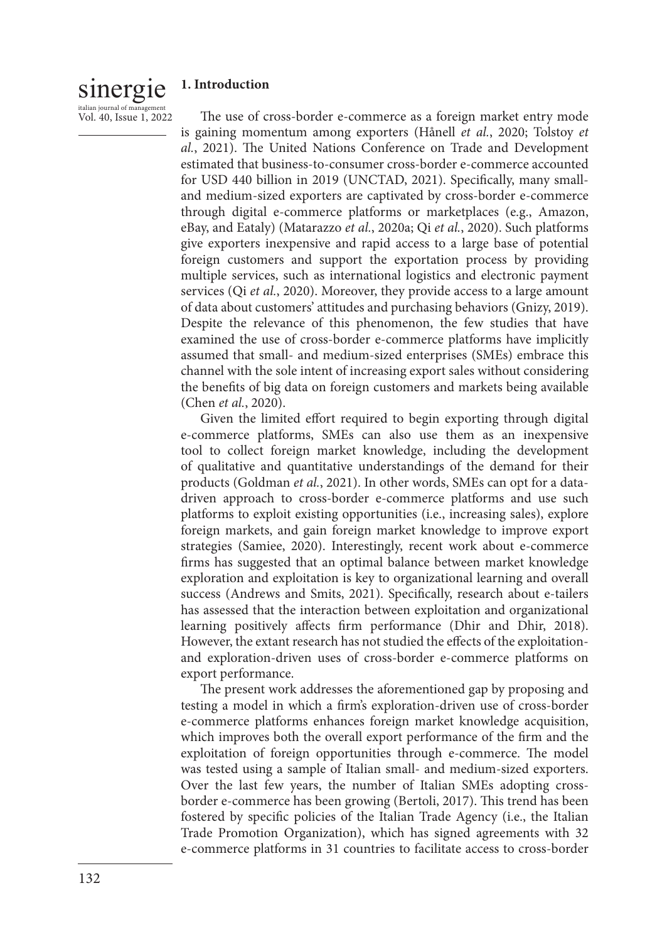#### sinergie italian journal of mana **1. Introduction**

Vol. 40, Issue 1, 2022

The use of cross-border e-commerce as a foreign market entry mode is gaining momentum among exporters (Hånell *et al.*, 2020; Tolstoy *et al.*, 2021). The United Nations Conference on Trade and Development estimated that business-to-consumer cross-border e-commerce accounted for USD 440 billion in 2019 (UNCTAD, 2021). Specifically, many smalland medium-sized exporters are captivated by cross-border e-commerce through digital e-commerce platforms or marketplaces (e.g., Amazon, eBay, and Eataly) (Matarazzo *et al.*, 2020a; Qi *et al.*, 2020). Such platforms give exporters inexpensive and rapid access to a large base of potential foreign customers and support the exportation process by providing multiple services, such as international logistics and electronic payment services (Qi *et al.*, 2020). Moreover, they provide access to a large amount of data about customers' attitudes and purchasing behaviors (Gnizy, 2019). Despite the relevance of this phenomenon, the few studies that have examined the use of cross-border e-commerce platforms have implicitly assumed that small- and medium-sized enterprises (SMEs) embrace this channel with the sole intent of increasing export sales without considering the benefits of big data on foreign customers and markets being available (Chen *et al.*, 2020).

Given the limited effort required to begin exporting through digital e-commerce platforms, SMEs can also use them as an inexpensive tool to collect foreign market knowledge, including the development of qualitative and quantitative understandings of the demand for their products (Goldman *et al.*, 2021). In other words, SMEs can opt for a datadriven approach to cross-border e-commerce platforms and use such platforms to exploit existing opportunities (i.e., increasing sales), explore foreign markets, and gain foreign market knowledge to improve export strategies (Samiee, 2020). Interestingly, recent work about e-commerce firms has suggested that an optimal balance between market knowledge exploration and exploitation is key to organizational learning and overall success (Andrews and Smits, 2021). Specifically, research about e-tailers has assessed that the interaction between exploitation and organizational learning positively affects firm performance (Dhir and Dhir, 2018). However, the extant research has not studied the effects of the exploitationand exploration-driven uses of cross-border e-commerce platforms on export performance.

The present work addresses the aforementioned gap by proposing and testing a model in which a firm's exploration-driven use of cross-border e-commerce platforms enhances foreign market knowledge acquisition, which improves both the overall export performance of the firm and the exploitation of foreign opportunities through e-commerce. The model was tested using a sample of Italian small- and medium-sized exporters. Over the last few years, the number of Italian SMEs adopting crossborder e-commerce has been growing (Bertoli, 2017). This trend has been fostered by specific policies of the Italian Trade Agency (i.e., the Italian Trade Promotion Organization), which has signed agreements with 32 e-commerce platforms in 31 countries to facilitate access to cross-border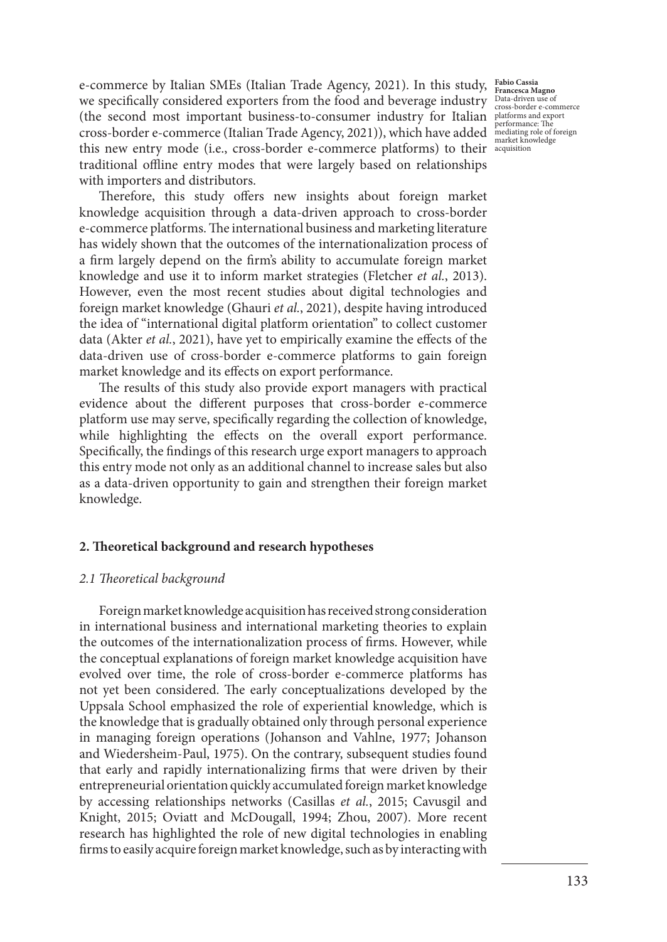(the second most important business-to-consumer industry for Italian  $P_{\text{performance: The}}$ cross-border e-commerce (Italian Trade Agency, 2021)), which have added mediating role of foreign this new entry mode (i.e., cross-border e-commerce platforms) to their acquisition e-commerce by Italian SMEs (Italian Trade Agency, 2021). In this study, we specifically considered exporters from the food and beverage industry traditional offline entry modes that were largely based on relationships with importers and distributors.

**Fabio Cassia Francesca Magno** Data-driven use of cross-border e-commerce performance: The market knowledge

Therefore, this study offers new insights about foreign market knowledge acquisition through a data-driven approach to cross-border e-commerce platforms. The international business and marketing literature has widely shown that the outcomes of the internationalization process of a firm largely depend on the firm's ability to accumulate foreign market knowledge and use it to inform market strategies (Fletcher *et al.*, 2013). However, even the most recent studies about digital technologies and foreign market knowledge (Ghauri *et al.*, 2021), despite having introduced the idea of "international digital platform orientation" to collect customer data (Akter *et al.*, 2021), have yet to empirically examine the effects of the data-driven use of cross-border e-commerce platforms to gain foreign market knowledge and its effects on export performance.

The results of this study also provide export managers with practical evidence about the different purposes that cross-border e-commerce platform use may serve, specifically regarding the collection of knowledge, while highlighting the effects on the overall export performance. Specifically, the findings of this research urge export managers to approach this entry mode not only as an additional channel to increase sales but also as a data-driven opportunity to gain and strengthen their foreign market knowledge.

### **2. Theoretical background and research hypotheses**

### *2.1 Theoretical background*

Foreign market knowledge acquisition has received strong consideration in international business and international marketing theories to explain the outcomes of the internationalization process of firms. However, while the conceptual explanations of foreign market knowledge acquisition have evolved over time, the role of cross-border e-commerce platforms has not yet been considered. The early conceptualizations developed by the Uppsala School emphasized the role of experiential knowledge, which is the knowledge that is gradually obtained only through personal experience in managing foreign operations (Johanson and Vahlne, 1977; Johanson and Wiedersheim-Paul, 1975). On the contrary, subsequent studies found that early and rapidly internationalizing firms that were driven by their entrepreneurial orientation quickly accumulated foreign market knowledge by accessing relationships networks (Casillas *et al.*, 2015; Cavusgil and Knight, 2015; Oviatt and McDougall, 1994; Zhou, 2007). More recent research has highlighted the role of new digital technologies in enabling firms to easily acquire foreign market knowledge, such as by interacting with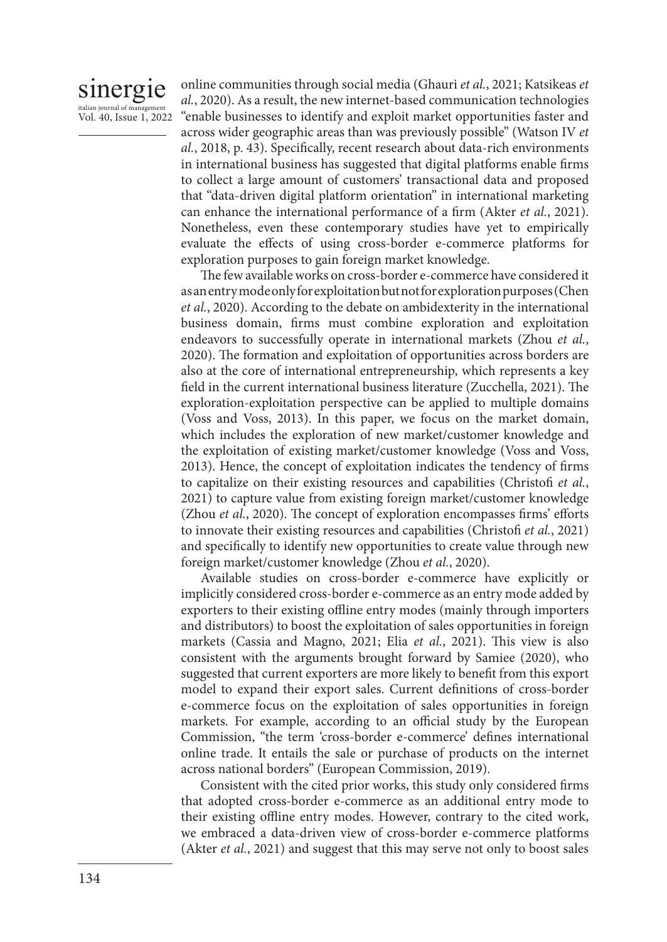## sinergie italian journal of manag

Vol. 40, Issue 1, 2022

online communities through social media (Ghauri *et al.*, 2021; Katsikeas *et al.*, 2020). As a result, the new internet-based communication technologies "enable businesses to identify and exploit market opportunities faster and across wider geographic areas than was previously possible" (Watson IV *et al.*, 2018, p. 43). Specifically, recent research about data-rich environments in international business has suggested that digital platforms enable firms to collect a large amount of customers' transactional data and proposed that "data-driven digital platform orientation" in international marketing can enhance the international performance of a firm (Akter *et al.*, 2021). Nonetheless, even these contemporary studies have yet to empirically evaluate the effects of using cross-border e-commerce platforms for exploration purposes to gain foreign market knowledge.

The few available works on cross-border e-commerce have considered it as an entry mode only for exploitation but not for exploration purposes (Chen *et al.*, 2020). According to the debate on ambidexterity in the international business domain, firms must combine exploration and exploitation endeavors to successfully operate in international markets (Zhou *et al.*, 2020). The formation and exploitation of opportunities across borders are also at the core of international entrepreneurship, which represents a key field in the current international business literature (Zucchella, 2021). The exploration-exploitation perspective can be applied to multiple domains (Voss and Voss, 2013). In this paper, we focus on the market domain, which includes the exploration of new market/customer knowledge and the exploitation of existing market/customer knowledge (Voss and Voss, 2013). Hence, the concept of exploitation indicates the tendency of firms to capitalize on their existing resources and capabilities (Christofi *et al.*, 2021) to capture value from existing foreign market/customer knowledge (Zhou *et al.*, 2020). The concept of exploration encompasses firms' efforts to innovate their existing resources and capabilities (Christofi *et al.*, 2021) and specifically to identify new opportunities to create value through new foreign market/customer knowledge (Zhou *et al.*, 2020).

Available studies on cross-border e-commerce have explicitly or implicitly considered cross-border e-commerce as an entry mode added by exporters to their existing offline entry modes (mainly through importers and distributors) to boost the exploitation of sales opportunities in foreign markets (Cassia and Magno, 2021; Elia *et al.*, 2021). This view is also consistent with the arguments brought forward by Samiee (2020), who suggested that current exporters are more likely to benefit from this export model to expand their export sales. Current definitions of cross-border e-commerce focus on the exploitation of sales opportunities in foreign markets. For example, according to an official study by the European Commission, "the term 'cross-border e-commerce' defines international online trade. It entails the sale or purchase of products on the internet across national borders" (European Commission, 2019).

Consistent with the cited prior works, this study only considered firms that adopted cross-border e-commerce as an additional entry mode to their existing offline entry modes. However, contrary to the cited work, we embraced a data-driven view of cross-border e-commerce platforms (Akter *et al.*, 2021) and suggest that this may serve not only to boost sales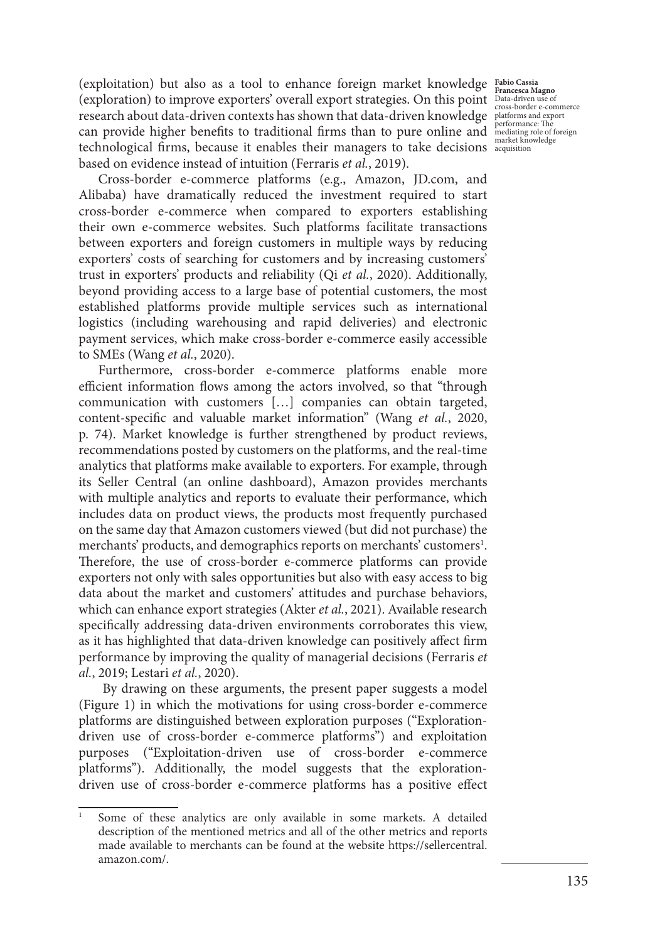(exploitation) but also as a tool to enhance foreign market knowledge **Fabio Cassia** (exploration) to improve exporters' overall export strategies. On this point **Francesca Magno** Data-driven use of cross-border e-commerce research about data-driven contexts has shown that data-driven knowledge slatforms and export can provide higher benefits to traditional firms than to pure online and  $\frac{p}{m}$  reformance: The content technological firms, because it enables their managers to take decisions acquisition based on evidence instead of intuition (Ferraris *et al.*, 2019).

Cross-border e-commerce platforms (e.g., Amazon, JD.com, and Alibaba) have dramatically reduced the investment required to start cross-border e-commerce when compared to exporters establishing their own e-commerce websites. Such platforms facilitate transactions between exporters and foreign customers in multiple ways by reducing exporters' costs of searching for customers and by increasing customers' trust in exporters' products and reliability (Qi *et al.*, 2020). Additionally, beyond providing access to a large base of potential customers, the most established platforms provide multiple services such as international logistics (including warehousing and rapid deliveries) and electronic payment services, which make cross-border e-commerce easily accessible to SMEs (Wang *et al.*, 2020).

Furthermore, cross-border e-commerce platforms enable more efficient information flows among the actors involved, so that "through communication with customers […] companies can obtain targeted, content-specific and valuable market information" (Wang *et al.*, 2020, p. 74). Market knowledge is further strengthened by product reviews, recommendations posted by customers on the platforms, and the real-time analytics that platforms make available to exporters. For example, through its Seller Central (an online dashboard), Amazon provides merchants with multiple analytics and reports to evaluate their performance, which includes data on product views, the products most frequently purchased on the same day that Amazon customers viewed (but did not purchase) the merchants' products, and demographics reports on merchants' customers<sup>1</sup>. Therefore, the use of cross-border e-commerce platforms can provide exporters not only with sales opportunities but also with easy access to big data about the market and customers' attitudes and purchase behaviors, which can enhance export strategies (Akter *et al.*, 2021). Available research specifically addressing data-driven environments corroborates this view, as it has highlighted that data-driven knowledge can positively affect firm performance by improving the quality of managerial decisions (Ferraris *et al.*, 2019; Lestari *et al.*, 2020).

 By drawing on these arguments, the present paper suggests a model (Figure 1) in which the motivations for using cross-border e-commerce platforms are distinguished between exploration purposes ("Explorationdriven use of cross-border e-commerce platforms") and exploitation purposes ("Exploitation-driven use of cross-border e-commerce platforms"). Additionally, the model suggests that the explorationdriven use of cross-border e-commerce platforms has a positive effect

Some of these analytics are only available in some markets. A detailed description of the mentioned metrics and all of the other metrics and reports made available to merchants can be found at the website https://sellercentral. amazon.com/.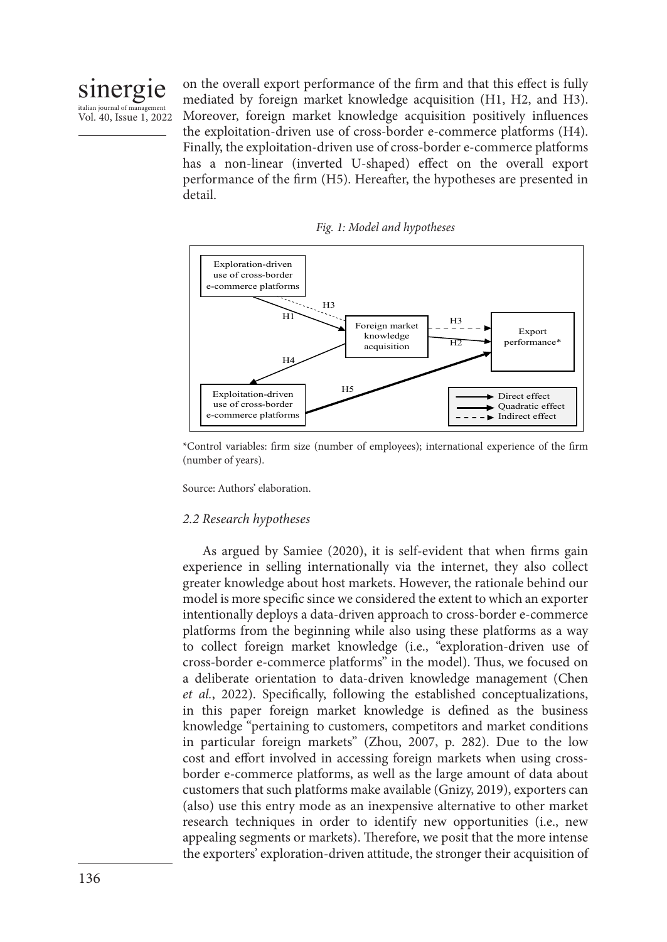

on the overall export performance of the firm and that this effect is fully mediated by foreign market knowledge acquisition (H1, H2, and H3). Moreover, foreign market knowledge acquisition positively influences the exploitation-driven use of cross-border e-commerce platforms (H4). Finally, the exploitation-driven use of cross-border e-commerce platforms has a non-linear (inverted U-shaped) effect on the overall export performance of the firm (H5). Hereafter, the hypotheses are presented in detail.





\*Control variables: firm size (number of employees); international experience of the firm (number of years).

Source: Authors' elaboration.

### *2.2 Research hypotheses*

As argued by Samiee (2020), it is self-evident that when firms gain experience in selling internationally via the internet, they also collect greater knowledge about host markets. However, the rationale behind our model is more specific since we considered the extent to which an exporter intentionally deploys a data-driven approach to cross-border e-commerce platforms from the beginning while also using these platforms as a way to collect foreign market knowledge (i.e., "exploration-driven use of cross-border e-commerce platforms" in the model). Thus, we focused on a deliberate orientation to data-driven knowledge management (Chen *et al.*, 2022). Specifically, following the established conceptualizations, in this paper foreign market knowledge is defined as the business knowledge "pertaining to customers, competitors and market conditions in particular foreign markets" (Zhou, 2007, p. 282). Due to the low cost and effort involved in accessing foreign markets when using crossborder e-commerce platforms, as well as the large amount of data about customers that such platforms make available (Gnizy, 2019), exporters can (also) use this entry mode as an inexpensive alternative to other market research techniques in order to identify new opportunities (i.e., new appealing segments or markets). Therefore, we posit that the more intense the exporters' exploration-driven attitude, the stronger their acquisition of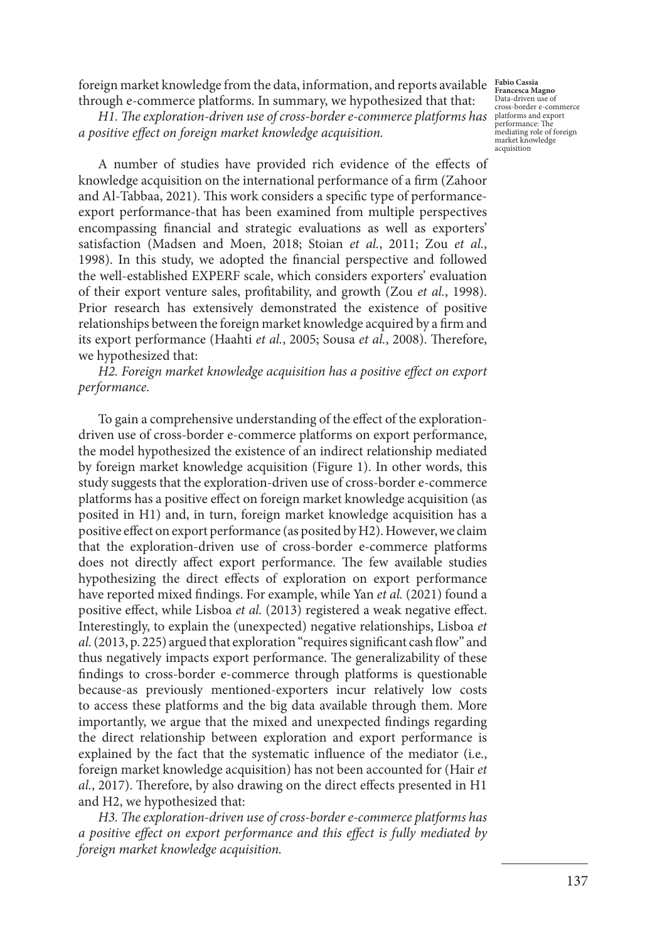foreign market knowledge from the data, information, and reports available **Fabio Cassia** through e-commerce platforms. In summary, we hypothesized that that:

*H1. The exploration-driven use of cross-border e-commerce platforms has* splatforms and export *a positive effect on foreign market knowledge acquisition.*

A number of studies have provided rich evidence of the effects of knowledge acquisition on the international performance of a firm (Zahoor and Al-Tabbaa, 2021). This work considers a specific type of performanceexport performance-that has been examined from multiple perspectives encompassing financial and strategic evaluations as well as exporters' satisfaction (Madsen and Moen, 2018; Stoian *et al.*, 2011; Zou *et al.*, 1998). In this study, we adopted the financial perspective and followed the well-established EXPERF scale, which considers exporters' evaluation of their export venture sales, profitability, and growth (Zou *et al.*, 1998). Prior research has extensively demonstrated the existence of positive relationships between the foreign market knowledge acquired by a firm and its export performance (Haahti *et al.*, 2005; Sousa *et al.*, 2008). Therefore, we hypothesized that:

### *H2. Foreign market knowledge acquisition has a positive effect on export performance.*

To gain a comprehensive understanding of the effect of the explorationdriven use of cross-border e-commerce platforms on export performance, the model hypothesized the existence of an indirect relationship mediated by foreign market knowledge acquisition (Figure 1). In other words, this study suggests that the exploration-driven use of cross-border e-commerce platforms has a positive effect on foreign market knowledge acquisition (as posited in H1) and, in turn, foreign market knowledge acquisition has a positive effect on export performance (as posited by H2). However, we claim that the exploration-driven use of cross-border e-commerce platforms does not directly affect export performance. The few available studies hypothesizing the direct effects of exploration on export performance have reported mixed findings. For example, while Yan *et al.* (2021) found a positive effect, while Lisboa *et al.* (2013) registered a weak negative effect. Interestingly, to explain the (unexpected) negative relationships, Lisboa *et al.* (2013, p. 225) argued that exploration "requires significant cash flow" and thus negatively impacts export performance. The generalizability of these findings to cross-border e-commerce through platforms is questionable because-as previously mentioned-exporters incur relatively low costs to access these platforms and the big data available through them. More importantly, we argue that the mixed and unexpected findings regarding the direct relationship between exploration and export performance is explained by the fact that the systematic influence of the mediator (i.e., foreign market knowledge acquisition) has not been accounted for (Hair *et al.*, 2017). Therefore, by also drawing on the direct effects presented in H1 and H2, we hypothesized that:

*H3. The exploration-driven use of cross-border e-commerce platforms has a positive effect on export performance and this effect is fully mediated by foreign market knowledge acquisition.*

**Francesca Magno** Data-driven use of cross-border e-commerce performance: The mediating role of foreign market knowledge acquisition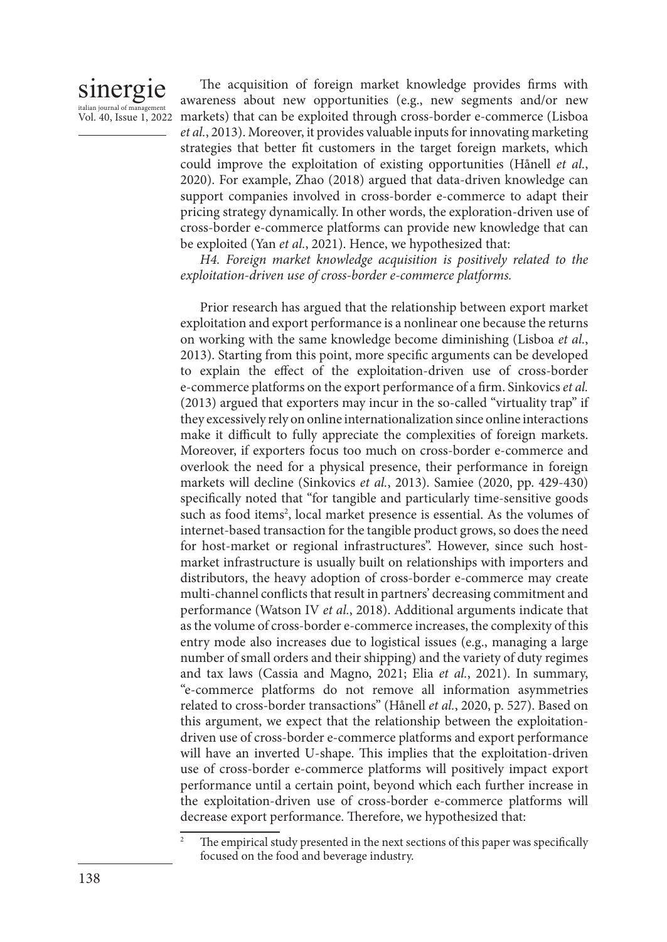### sinergie italian journal of manageme

Vol. 40, Issue 1, 2022 markets) that can be exploited through cross-border e-commerce (Lisboa The acquisition of foreign market knowledge provides firms with awareness about new opportunities (e.g., new segments and/or new *et al.*, 2013). Moreover, it provides valuable inputs for innovating marketing strategies that better fit customers in the target foreign markets, which could improve the exploitation of existing opportunities (Hånell *et al.*, 2020). For example, Zhao (2018) argued that data-driven knowledge can support companies involved in cross-border e-commerce to adapt their pricing strategy dynamically. In other words, the exploration-driven use of cross-border e-commerce platforms can provide new knowledge that can be exploited (Yan *et al.*, 2021). Hence, we hypothesized that:

> *H4. Foreign market knowledge acquisition is positively related to the exploitation-driven use of cross-border e-commerce platforms.*

> Prior research has argued that the relationship between export market exploitation and export performance is a nonlinear one because the returns on working with the same knowledge become diminishing (Lisboa *et al.*, 2013). Starting from this point, more specific arguments can be developed to explain the effect of the exploitation-driven use of cross-border e-commerce platforms on the export performance of a firm. Sinkovics *et al.* (2013) argued that exporters may incur in the so-called "virtuality trap" if they excessively rely on online internationalization since online interactions make it difficult to fully appreciate the complexities of foreign markets. Moreover, if exporters focus too much on cross-border e-commerce and overlook the need for a physical presence, their performance in foreign markets will decline (Sinkovics *et al.*, 2013). Samiee (2020, pp. 429-430) specifically noted that "for tangible and particularly time-sensitive goods such as food items<sup>2</sup>, local market presence is essential. As the volumes of internet-based transaction for the tangible product grows, so does the need for host-market or regional infrastructures". However, since such hostmarket infrastructure is usually built on relationships with importers and distributors, the heavy adoption of cross-border e-commerce may create multi-channel conflicts that result in partners' decreasing commitment and performance (Watson IV *et al.*, 2018). Additional arguments indicate that as the volume of cross-border e-commerce increases, the complexity of this entry mode also increases due to logistical issues (e.g., managing a large number of small orders and their shipping) and the variety of duty regimes and tax laws (Cassia and Magno, 2021; Elia *et al.*, 2021). In summary, "e-commerce platforms do not remove all information asymmetries related to cross-border transactions" (Hånell *et al.*, 2020, p. 527). Based on this argument, we expect that the relationship between the exploitationdriven use of cross-border e-commerce platforms and export performance will have an inverted U-shape. This implies that the exploitation-driven use of cross-border e-commerce platforms will positively impact export performance until a certain point, beyond which each further increase in the exploitation-driven use of cross-border e-commerce platforms will decrease export performance. Therefore, we hypothesized that:

The empirical study presented in the next sections of this paper was specifically focused on the food and beverage industry.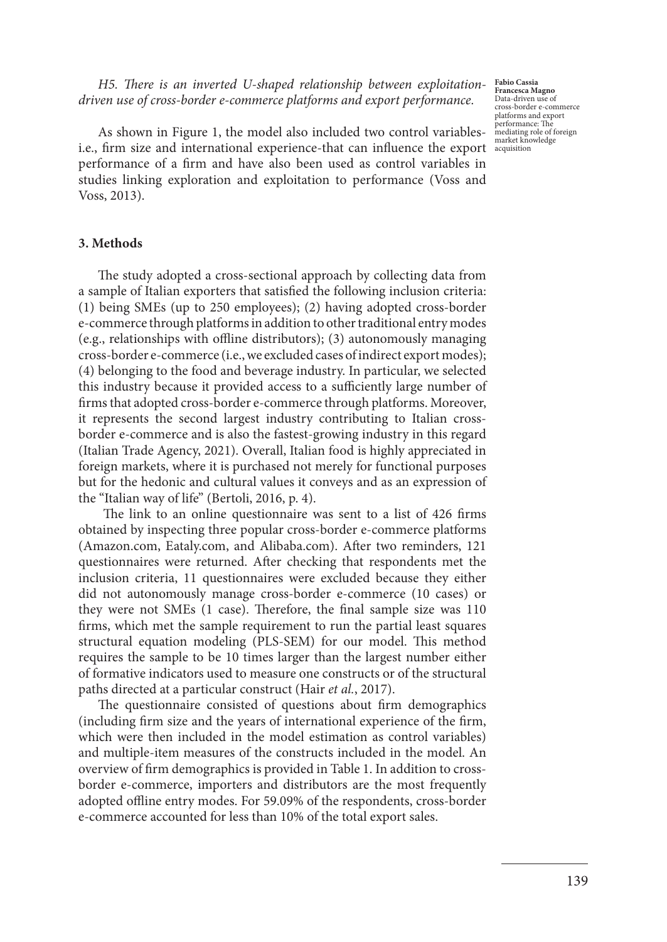*H5. There is an inverted U-shaped relationship between exploitationdriven use of cross-border e-commerce platforms and export performance.*

**Fabio Cassia Francesca Magno** Data-driven use of cross-border e-commerce platforms and export performance: The mediating role of foreign market knowledge acquisition

As shown in Figure 1, the model also included two control variablesi.e., firm size and international experience-that can influence the export performance of a firm and have also been used as control variables in studies linking exploration and exploitation to performance (Voss and Voss, 2013).

### **3. Methods**

The study adopted a cross-sectional approach by collecting data from a sample of Italian exporters that satisfied the following inclusion criteria: (1) being SMEs (up to 250 employees); (2) having adopted cross-border e-commerce through platforms in addition to other traditional entry modes (e.g., relationships with offline distributors); (3) autonomously managing cross-border e-commerce (i.e., we excluded cases of indirect export modes); (4) belonging to the food and beverage industry. In particular, we selected this industry because it provided access to a sufficiently large number of firms that adopted cross-border e-commerce through platforms. Moreover, it represents the second largest industry contributing to Italian crossborder e-commerce and is also the fastest-growing industry in this regard (Italian Trade Agency, 2021). Overall, Italian food is highly appreciated in foreign markets, where it is purchased not merely for functional purposes but for the hedonic and cultural values it conveys and as an expression of the "Italian way of life" (Bertoli, 2016, p. 4).

 The link to an online questionnaire was sent to a list of 426 firms obtained by inspecting three popular cross-border e-commerce platforms (Amazon.com, Eataly.com, and Alibaba.com). After two reminders, 121 questionnaires were returned. After checking that respondents met the inclusion criteria, 11 questionnaires were excluded because they either did not autonomously manage cross-border e-commerce (10 cases) or they were not SMEs (1 case). Therefore, the final sample size was 110 firms, which met the sample requirement to run the partial least squares structural equation modeling (PLS-SEM) for our model. This method requires the sample to be 10 times larger than the largest number either of formative indicators used to measure one constructs or of the structural paths directed at a particular construct (Hair *et al.*, 2017).

The questionnaire consisted of questions about firm demographics (including firm size and the years of international experience of the firm, which were then included in the model estimation as control variables) and multiple-item measures of the constructs included in the model. An overview of firm demographics is provided in Table 1. In addition to crossborder e-commerce, importers and distributors are the most frequently adopted offline entry modes. For 59.09% of the respondents, cross-border e-commerce accounted for less than 10% of the total export sales.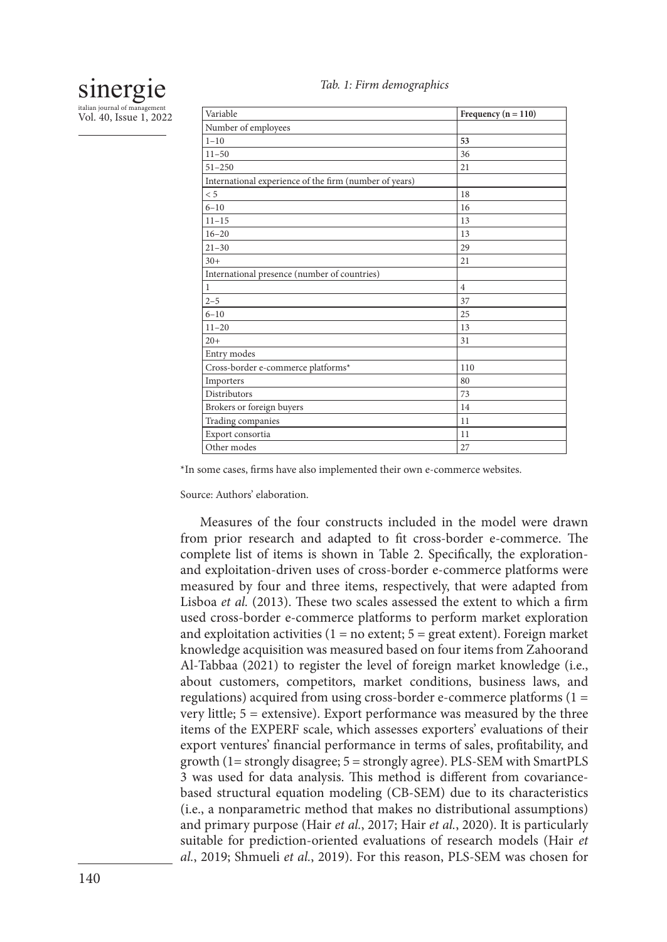

italian journal of management Vol. 40, Issue 1, 2022

| Variable                                               | Frequency ( $n = 110$ ) |
|--------------------------------------------------------|-------------------------|
| Number of employees                                    |                         |
| $1 - 10$                                               | 53                      |
| $11 - 50$                                              | 36                      |
| $51 - 250$                                             | 21                      |
| International experience of the firm (number of years) |                         |
| < 5                                                    | 18                      |
| $6 - 10$                                               | 16                      |
| $11 - 15$                                              | 13                      |
| $16 - 20$                                              | 13                      |
| $21 - 30$                                              | 29                      |
| $30+$                                                  | 21                      |
| International presence (number of countries)           |                         |
| $\mathbf{1}$                                           | $\overline{4}$          |
| $2 - 5$                                                | 37                      |
| $6 - 10$                                               | 25                      |
| $11 - 20$                                              | 13                      |
| $20+$                                                  | 31                      |
| Entry modes                                            |                         |
| Cross-border e-commerce platforms*                     | 110                     |
| Importers                                              | 80                      |
| Distributors                                           | 73                      |
| Brokers or foreign buyers                              | 14                      |
| Trading companies                                      | 11                      |
| Export consortia                                       | 11                      |
| Other modes                                            | 27                      |

*Tab. 1: Firm demographics*

\*In some cases, firms have also implemented their own e-commerce websites.

Source: Authors' elaboration.

Measures of the four constructs included in the model were drawn from prior research and adapted to fit cross-border e-commerce. The complete list of items is shown in Table 2. Specifically, the explorationand exploitation-driven uses of cross-border e-commerce platforms were measured by four and three items, respectively, that were adapted from Lisboa *et al.* (2013). These two scales assessed the extent to which a firm used cross-border e-commerce platforms to perform market exploration and exploitation activities  $(1 = no$  extent;  $5 = great$  extent). Foreign market knowledge acquisition was measured based on four items from Zahoorand Al-Tabbaa (2021) to register the level of foreign market knowledge (i.e., about customers, competitors, market conditions, business laws, and regulations) acquired from using cross-border e-commerce platforms (1 = very little; 5 = extensive). Export performance was measured by the three items of the EXPERF scale, which assesses exporters' evaluations of their export ventures' financial performance in terms of sales, profitability, and growth (1= strongly disagree; 5 = strongly agree). PLS-SEM with SmartPLS 3 was used for data analysis. This method is different from covariancebased structural equation modeling (CB-SEM) due to its characteristics (i.e., a nonparametric method that makes no distributional assumptions) and primary purpose (Hair *et al.*, 2017; Hair *et al.*, 2020). It is particularly suitable for prediction-oriented evaluations of research models (Hair *et al.*, 2019; Shmueli *et al.*, 2019). For this reason, PLS-SEM was chosen for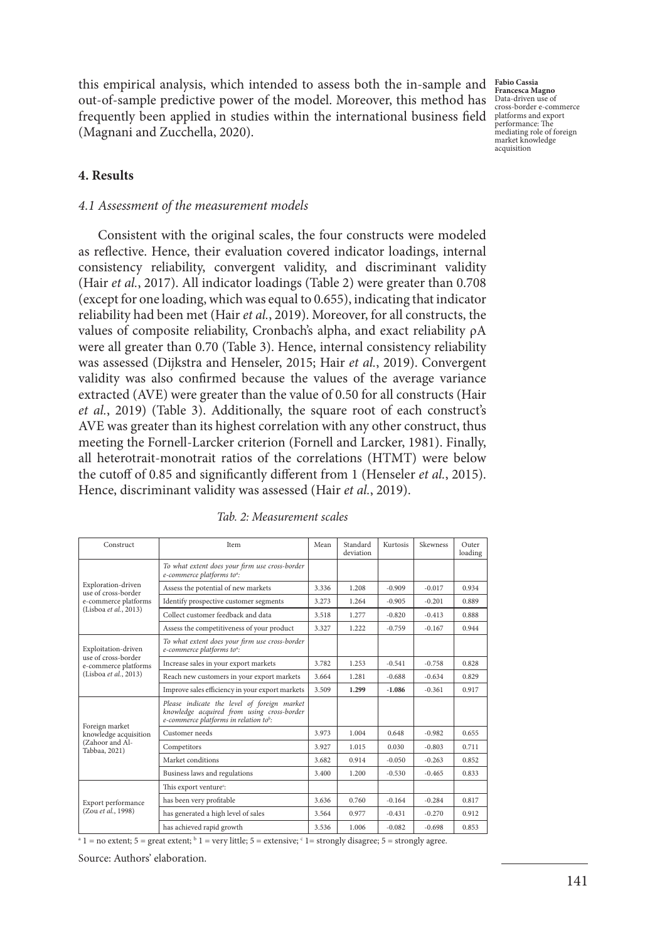this empirical analysis, which intended to assess both the in-sample and out-of-sample predictive power of the model. Moreover, this method has frequently been applied in studies within the international business field platforms and export (Magnani and Zucchella, 2020).

**Fabio Cassia Francesca Magno** Data-driven use of cross-border e-commerce performance: The mediating role of foreign market knowledge acquisition

### **4. Results**

### *4.1 Assessment of the measurement models*

Consistent with the original scales, the four constructs were modeled as reflective. Hence, their evaluation covered indicator loadings, internal consistency reliability, convergent validity, and discriminant validity (Hair *et al.*, 2017). All indicator loadings (Table 2) were greater than 0.708 (except for one loading, which was equal to 0.655), indicating that indicator reliability had been met (Hair *et al.*, 2019). Moreover, for all constructs, the values of composite reliability, Cronbach's alpha, and exact reliability ρA were all greater than 0.70 (Table 3). Hence, internal consistency reliability was assessed (Dijkstra and Henseler, 2015; Hair *et al.*, 2019). Convergent validity was also confirmed because the values of the average variance extracted (AVE) were greater than the value of 0.50 for all constructs (Hair *et al.*, 2019) (Table 3). Additionally, the square root of each construct's AVE was greater than its highest correlation with any other construct, thus meeting the Fornell-Larcker criterion (Fornell and Larcker, 1981). Finally, all heterotrait-monotrait ratios of the correlations (HTMT) were below the cutoff of 0.85 and significantly different from 1 (Henseler *et al.*, 2015). Hence, discriminant validity was assessed (Hair *et al.*, 2019).

| Construct                                                                                   | <b>Item</b>                                                                                                                                     | Mean  | Standard<br>deviation | Kurtosis | Skewness | Outer<br>loading |
|---------------------------------------------------------------------------------------------|-------------------------------------------------------------------------------------------------------------------------------------------------|-------|-----------------------|----------|----------|------------------|
| Exploration-driven<br>use of cross-border<br>e-commerce platforms<br>(Lisboa et al., 2013)  | To what extent does your firm use cross-border<br>e-commerce platforms to <sup>a</sup> :                                                        |       |                       |          |          |                  |
|                                                                                             | Assess the potential of new markets                                                                                                             | 3.336 | 1.208                 | $-0.909$ | $-0.017$ | 0.934            |
|                                                                                             | Identify prospective customer segments                                                                                                          | 3.273 | 1.264                 | $-0.905$ | $-0.201$ | 0.889            |
|                                                                                             | Collect customer feedback and data                                                                                                              | 3.518 | 1.277                 | $-0.820$ | $-0.413$ | 0.888            |
|                                                                                             | Assess the competitiveness of your product                                                                                                      | 3.327 | 1.222                 | $-0.759$ | $-0.167$ | 0.944            |
| Exploitation-driven<br>use of cross-border<br>e-commerce platforms<br>(Lisboa et al., 2013) | To what extent does your firm use cross-border<br>e-commerce platforms to <sup>a</sup> :                                                        |       |                       |          |          |                  |
|                                                                                             | Increase sales in your export markets                                                                                                           | 3.782 | 1.253                 | $-0.541$ | $-0.758$ | 0.828            |
|                                                                                             | Reach new customers in your export markets                                                                                                      | 3.664 | 1.281                 | $-0.688$ | $-0.634$ | 0.829            |
|                                                                                             | Improve sales efficiency in your export markets                                                                                                 | 3.509 | 1.299                 | $-1.086$ | $-0.361$ | 0.917            |
| Foreign market<br>knowledge acquisition<br>(Zahoor and Al-<br>Tabbaa, 2021)                 | Please indicate the level of foreign market<br>knowledge acquired from using cross-border<br>e-commerce platforms in relation to <sup>b</sup> : |       |                       |          |          |                  |
|                                                                                             | Customer needs                                                                                                                                  | 3.973 | 1.004                 | 0.648    | $-0.982$ | 0.655            |
|                                                                                             | Competitors                                                                                                                                     | 3.927 | 1.015                 | 0.030    | $-0.803$ | 0.711            |
|                                                                                             | Market conditions                                                                                                                               | 3.682 | 0.914                 | $-0.050$ | $-0.263$ | 0.852            |
|                                                                                             | Business laws and regulations                                                                                                                   | 3.400 | 1.200                 | $-0.530$ | $-0.465$ | 0.833            |
| Export performance<br>(Zou et al., 1998)                                                    | This export venture <sup>c</sup> :                                                                                                              |       |                       |          |          |                  |
|                                                                                             | has been very profitable                                                                                                                        | 3.636 | 0.760                 | $-0.164$ | $-0.284$ | 0.817            |
|                                                                                             | has generated a high level of sales                                                                                                             | 3.564 | 0.977                 | $-0.431$ | $-0.270$ | 0.912            |
|                                                                                             | has achieved rapid growth                                                                                                                       | 3.536 | 1.006                 | $-0.082$ | $-0.698$ | 0.853            |

*Tab. 2: Measurement scales*

 $a<sup>a</sup> 1 = no$  extent;  $5 =$  great extent;  $b<sup>b</sup> 1 =$  very little;  $5 =$  extensive;  $c<sup>c</sup> 1 =$  strongly disagree;  $5 =$  strongly agree.

Source: Authors' elaboration.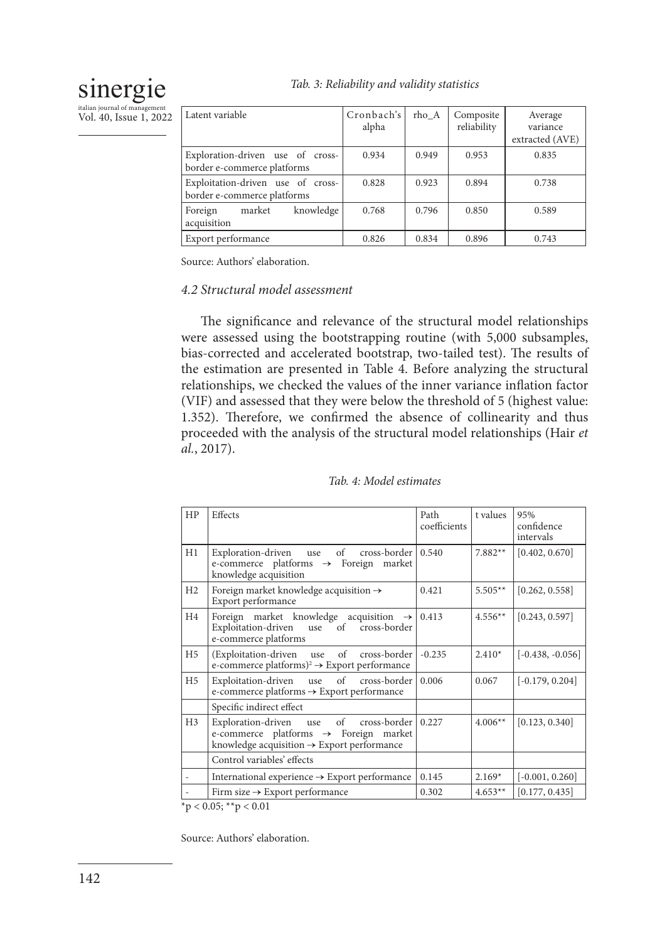### *Tab. 3: Reliability and validity statistics*

# sinergie

italian journal of mana Vol. 40, Issue 1, 2022

| Latent variable                                                  | Cronbach's<br>alpha | rho_A | Composite<br>reliability | Average<br>variance<br>extracted (AVE) |
|------------------------------------------------------------------|---------------------|-------|--------------------------|----------------------------------------|
| Exploration-driven use of cross-<br>border e-commerce platforms  | 0.934               | 0.949 | 0.953                    | 0.835                                  |
| Exploitation-driven use of cross-<br>border e-commerce platforms | 0.828               | 0.923 | 0.894                    | 0.738                                  |
| knowledge<br>market<br>Foreign<br>acquisition                    | 0.768               | 0.796 | 0.850                    | 0.589                                  |
| Export performance                                               | 0.826               | 0.834 | 0.896                    | 0.743                                  |

Source: Authors' elaboration.

### *4.2 Structural model assessment*

The significance and relevance of the structural model relationships were assessed using the bootstrapping routine (with 5,000 subsamples, bias-corrected and accelerated bootstrap, two-tailed test). The results of the estimation are presented in Table 4. Before analyzing the structural relationships, we checked the values of the inner variance inflation factor (VIF) and assessed that they were below the threshold of 5 (highest value: 1.352). Therefore, we confirmed the absence of collinearity and thus proceeded with the analysis of the structural model relationships (Hair *et al.*, 2017).

| HP             | Effects                                                                                                                                                     | Path<br>coefficients | t values  | 95%<br>confidence<br>intervals |
|----------------|-------------------------------------------------------------------------------------------------------------------------------------------------------------|----------------------|-----------|--------------------------------|
| H1             | Exploration-driven use of cross-border 0.540<br>e-commerce platforms $\rightarrow$ Foreign market<br>knowledge acquisition                                  |                      | $7.882**$ | [0.402, 0.670]                 |
| H2             | Foreign market knowledge acquisition $\rightarrow$<br>Export performance                                                                                    | 0.421                | $5.505**$ | [0.262, 0.558]                 |
| H4             | Foreign market knowledge acquisition $\rightarrow$ 0.413<br>Exploitation-driven use of cross-border<br>e-commerce platforms                                 |                      | $4.556**$ | [0.243, 0.597]                 |
| H <sub>5</sub> | (Exploitation-driven use of cross-border)<br>e-commerce platforms) <sup>2</sup> $\rightarrow$ Export performance                                            | $-0.235$             | $2.410*$  | $[-0.438, -0.056]$             |
| H <sub>5</sub> | Exploitation-driven use of cross-border 0.006<br>e-commerce platforms $\rightarrow$ Export performance                                                      |                      | 0.067     | $[-0.179, 0.204]$              |
|                | Specific indirect effect                                                                                                                                    |                      |           |                                |
| H <sub>3</sub> | Exploration-driven use of cross-border 0.227<br>e-commerce platforms $\rightarrow$ Foreign market<br>knowledge acquisition $\rightarrow$ Export performance |                      | $4.006**$ | [0.123, 0.340]                 |
|                | Control variables' effects                                                                                                                                  |                      |           |                                |
|                | International experience $\rightarrow$ Export performance                                                                                                   | 0.145                | $2.169*$  | $[-0.001, 0.260]$              |
|                | Firm size $\rightarrow$ Export performance                                                                                                                  | 0.302                | $4.653**$ | [0.177, 0.435]                 |

### *Tab. 4: Model estimates*

 $*$ p < 0.05;  $*$  $*$ p < 0.01

Source: Authors' elaboration.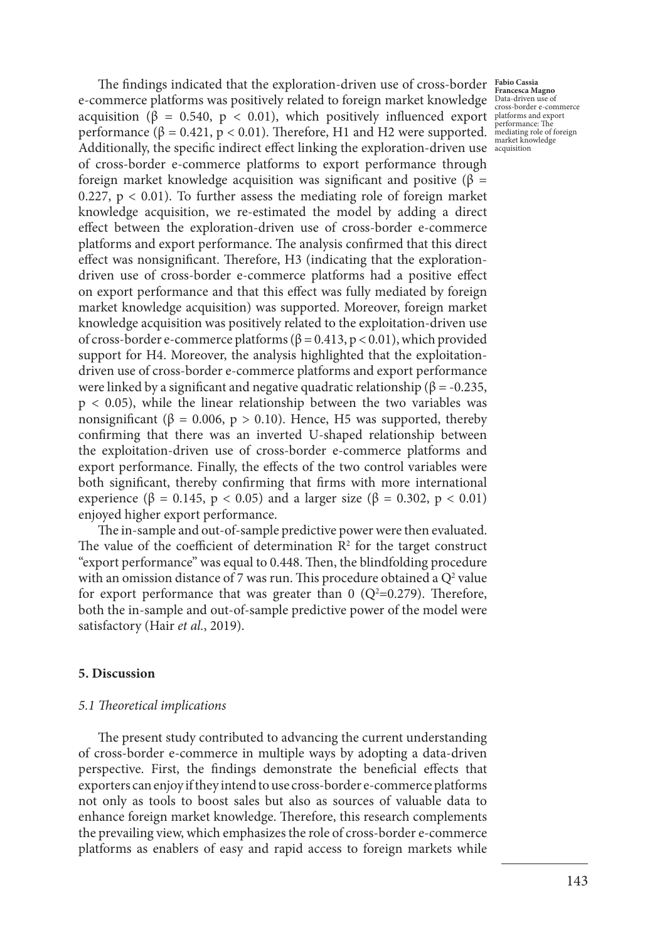The findings indicated that the exploration-driven use of cross-border **Fabio Cassia Francesca Magno** e-commerce platforms was positively related to foreign market knowledge Data-driven use of cross-border e-commerce acquisition (β = 0.540, p < 0.01), which positively influenced export platforms and export performance ( $\beta = 0.421$ ,  $p < 0.01$ ). Therefore, H1 and H2 were supported. Additionally, the specific indirect effect linking the exploration-driven use of cross-border e-commerce platforms to export performance through foreign market knowledge acquisition was significant and positive (β = 0.227,  $p < 0.01$ ). To further assess the mediating role of foreign market knowledge acquisition, we re-estimated the model by adding a direct effect between the exploration-driven use of cross-border e-commerce platforms and export performance. The analysis confirmed that this direct effect was nonsignificant. Therefore, H3 (indicating that the explorationdriven use of cross-border e-commerce platforms had a positive effect on export performance and that this effect was fully mediated by foreign market knowledge acquisition) was supported. Moreover, foreign market knowledge acquisition was positively related to the exploitation-driven use of cross-border e-commerce platforms (β = 0.413, p < 0.01), which provided support for H4. Moreover, the analysis highlighted that the exploitationdriven use of cross-border e-commerce platforms and export performance were linked by a significant and negative quadratic relationship ( $\beta$  = -0.235,  $p < 0.05$ ), while the linear relationship between the two variables was nonsignificant (β = 0.006, p > 0.10). Hence, H5 was supported, thereby confirming that there was an inverted U-shaped relationship between the exploitation-driven use of cross-border e-commerce platforms and export performance. Finally, the effects of the two control variables were both significant, thereby confirming that firms with more international experience (β = 0.145, p < 0.05) and a larger size (β = 0.302, p < 0.01) enjoyed higher export performance.

The in-sample and out-of-sample predictive power were then evaluated. The value of the coefficient of determination  $\mathbb{R}^2$  for the target construct "export performance" was equal to 0.448. Then, the blindfolding procedure with an omission distance of 7 was run. This procedure obtained a  $Q^2$  value for export performance that was greater than  $0$  (Q<sup>2</sup>=0.279). Therefore, both the in-sample and out-of-sample predictive power of the model were satisfactory (Hair *et al.*, 2019).

### **5. Discussion**

### *5.1 Theoretical implications*

The present study contributed to advancing the current understanding of cross-border e-commerce in multiple ways by adopting a data-driven perspective. First, the findings demonstrate the beneficial effects that exporters can enjoy if they intend to use cross-border e-commerce platforms not only as tools to boost sales but also as sources of valuable data to enhance foreign market knowledge. Therefore, this research complements the prevailing view, which emphasizes the role of cross-border e-commerce platforms as enablers of easy and rapid access to foreign markets while

performance: The mediating role of foreign market knowledge acquisition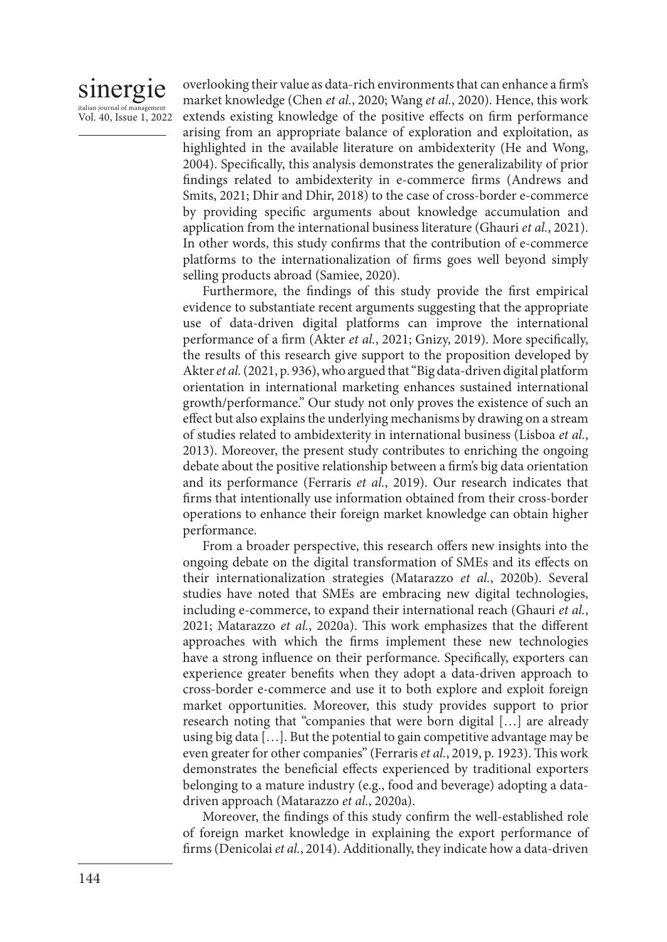### sinergie italian journal of manag Vol. 40, Issue 1, 2022

overlooking their value as data-rich environments that can enhance a firm's market knowledge (Chen *et al.*, 2020; Wang *et al.*, 2020). Hence, this work extends existing knowledge of the positive effects on firm performance arising from an appropriate balance of exploration and exploitation, as highlighted in the available literature on ambidexterity (He and Wong, 2004). Specifically, this analysis demonstrates the generalizability of prior findings related to ambidexterity in e-commerce firms (Andrews and Smits, 2021; Dhir and Dhir, 2018) to the case of cross-border e-commerce by providing specific arguments about knowledge accumulation and application from the international business literature (Ghauri *et al.*, 2021). In other words, this study confirms that the contribution of e-commerce platforms to the internationalization of firms goes well beyond simply selling products abroad (Samiee, 2020).

Furthermore, the findings of this study provide the first empirical evidence to substantiate recent arguments suggesting that the appropriate use of data-driven digital platforms can improve the international performance of a firm (Akter *et al.*, 2021; Gnizy, 2019). More specifically, the results of this research give support to the proposition developed by Akter *et al.* (2021, p. 936), who argued that "Big data-driven digital platform orientation in international marketing enhances sustained international growth/performance." Our study not only proves the existence of such an effect but also explains the underlying mechanisms by drawing on a stream of studies related to ambidexterity in international business (Lisboa *et al.*, 2013). Moreover, the present study contributes to enriching the ongoing debate about the positive relationship between a firm's big data orientation and its performance (Ferraris *et al.*, 2019). Our research indicates that firms that intentionally use information obtained from their cross-border operations to enhance their foreign market knowledge can obtain higher performance.

From a broader perspective, this research offers new insights into the ongoing debate on the digital transformation of SMEs and its effects on their internationalization strategies (Matarazzo *et al.*, 2020b). Several studies have noted that SMEs are embracing new digital technologies, including e-commerce, to expand their international reach (Ghauri *et al.*, 2021; Matarazzo *et al.*, 2020a). This work emphasizes that the different approaches with which the firms implement these new technologies have a strong influence on their performance. Specifically, exporters can experience greater benefits when they adopt a data-driven approach to cross-border e-commerce and use it to both explore and exploit foreign market opportunities. Moreover, this study provides support to prior research noting that "companies that were born digital […] are already using big data […]. But the potential to gain competitive advantage may be even greater for other companies" (Ferraris *et al.*, 2019, p. 1923). This work demonstrates the beneficial effects experienced by traditional exporters belonging to a mature industry (e.g., food and beverage) adopting a datadriven approach (Matarazzo *et al.*, 2020a).

Moreover, the findings of this study confirm the well-established role of foreign market knowledge in explaining the export performance of firms (Denicolai *et al.*, 2014). Additionally, they indicate how a data-driven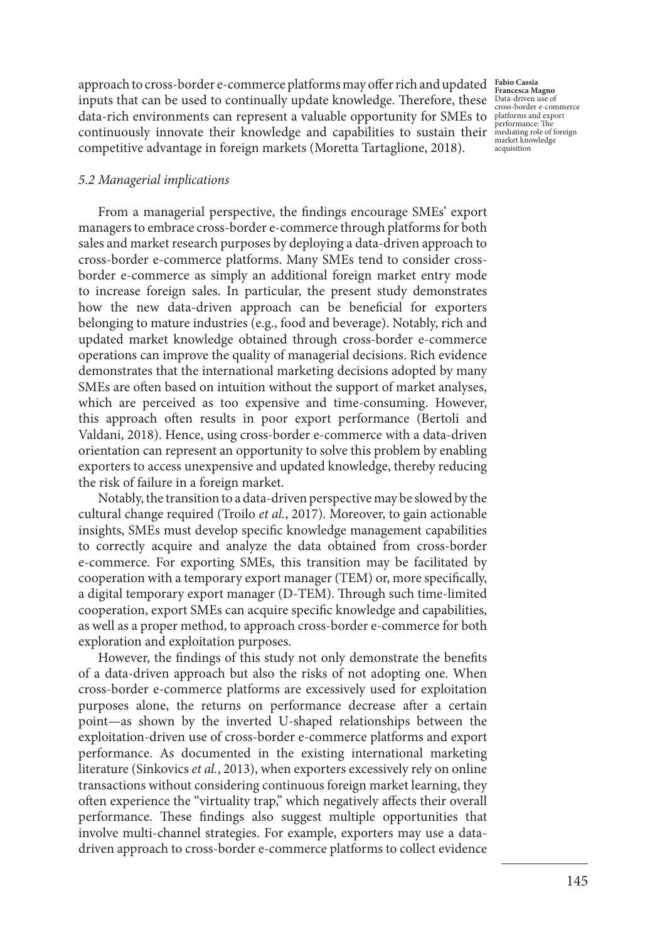approach to cross-border e-commerce platforms may offer rich and updated **Fabio Cassia** inputs that can be used to continually update knowledge. Therefore, these Data-driven use of cross-border e-commerce data-rich environments can represent a valuable opportunity for SMEs to platforms and export continuously innovate their knowledge and capabilities to sustain their competitive advantage in foreign markets (Moretta Tartaglione, 2018).

**Francesca Magno** performance: The mediating role of foreign market knowledge acquisition

### *5.2 Managerial implications*

From a managerial perspective, the findings encourage SMEs' export managers to embrace cross-border e-commerce through platforms for both sales and market research purposes by deploying a data-driven approach to cross-border e-commerce platforms. Many SMEs tend to consider crossborder e-commerce as simply an additional foreign market entry mode to increase foreign sales. In particular, the present study demonstrates how the new data-driven approach can be beneficial for exporters belonging to mature industries (e.g., food and beverage). Notably, rich and updated market knowledge obtained through cross-border e-commerce operations can improve the quality of managerial decisions. Rich evidence demonstrates that the international marketing decisions adopted by many SMEs are often based on intuition without the support of market analyses, which are perceived as too expensive and time-consuming. However, this approach often results in poor export performance (Bertoli and Valdani, 2018). Hence, using cross-border e-commerce with a data-driven orientation can represent an opportunity to solve this problem by enabling exporters to access unexpensive and updated knowledge, thereby reducing the risk of failure in a foreign market.

Notably, the transition to a data-driven perspective may be slowed by the cultural change required (Troilo *et al.*, 2017). Moreover, to gain actionable insights, SMEs must develop specific knowledge management capabilities to correctly acquire and analyze the data obtained from cross-border e-commerce. For exporting SMEs, this transition may be facilitated by cooperation with a temporary export manager (TEM) or, more specifically, a digital temporary export manager (D-TEM). Through such time-limited cooperation, export SMEs can acquire specific knowledge and capabilities, as well as a proper method, to approach cross-border e-commerce for both exploration and exploitation purposes.

However, the findings of this study not only demonstrate the benefits of a data-driven approach but also the risks of not adopting one. When cross-border e-commerce platforms are excessively used for exploitation purposes alone, the returns on performance decrease after a certain point—as shown by the inverted U-shaped relationships between the exploitation-driven use of cross-border e-commerce platforms and export performance. As documented in the existing international marketing literature (Sinkovics *et al.*, 2013), when exporters excessively rely on online transactions without considering continuous foreign market learning, they often experience the "virtuality trap," which negatively affects their overall performance. These findings also suggest multiple opportunities that involve multi-channel strategies. For example, exporters may use a datadriven approach to cross-border e-commerce platforms to collect evidence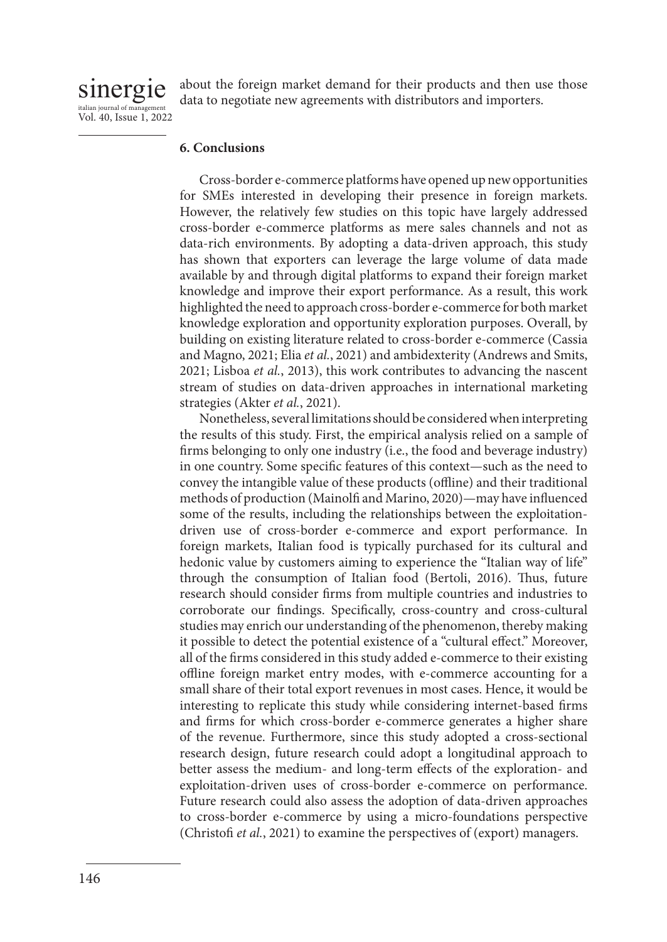sinergie italian journal of managemen Vol. 40, Issue 1, 2022 about the foreign market demand for their products and then use those data to negotiate new agreements with distributors and importers.

### **6. Conclusions**

Cross-border e-commerce platforms have opened up new opportunities for SMEs interested in developing their presence in foreign markets. However, the relatively few studies on this topic have largely addressed cross-border e-commerce platforms as mere sales channels and not as data-rich environments. By adopting a data-driven approach, this study has shown that exporters can leverage the large volume of data made available by and through digital platforms to expand their foreign market knowledge and improve their export performance. As a result, this work highlighted the need to approach cross-border e-commerce for both market knowledge exploration and opportunity exploration purposes. Overall, by building on existing literature related to cross-border e-commerce (Cassia and Magno, 2021; Elia *et al.*, 2021) and ambidexterity (Andrews and Smits, 2021; Lisboa *et al.*, 2013), this work contributes to advancing the nascent stream of studies on data-driven approaches in international marketing strategies (Akter *et al.*, 2021).

Nonetheless, several limitations should be considered when interpreting the results of this study. First, the empirical analysis relied on a sample of firms belonging to only one industry (i.e., the food and beverage industry) in one country. Some specific features of this context—such as the need to convey the intangible value of these products (offline) and their traditional methods of production (Mainolfi and Marino, 2020)—may have influenced some of the results, including the relationships between the exploitationdriven use of cross-border e-commerce and export performance. In foreign markets, Italian food is typically purchased for its cultural and hedonic value by customers aiming to experience the "Italian way of life" through the consumption of Italian food (Bertoli, 2016). Thus, future research should consider firms from multiple countries and industries to corroborate our findings. Specifically, cross-country and cross-cultural studies may enrich our understanding of the phenomenon, thereby making it possible to detect the potential existence of a "cultural effect." Moreover, all of the firms considered in this study added e-commerce to their existing offline foreign market entry modes, with e-commerce accounting for a small share of their total export revenues in most cases. Hence, it would be interesting to replicate this study while considering internet-based firms and firms for which cross-border e-commerce generates a higher share of the revenue. Furthermore, since this study adopted a cross-sectional research design, future research could adopt a longitudinal approach to better assess the medium- and long-term effects of the exploration- and exploitation-driven uses of cross-border e-commerce on performance. Future research could also assess the adoption of data-driven approaches to cross-border e-commerce by using a micro-foundations perspective (Christofi *et al.*, 2021) to examine the perspectives of (export) managers.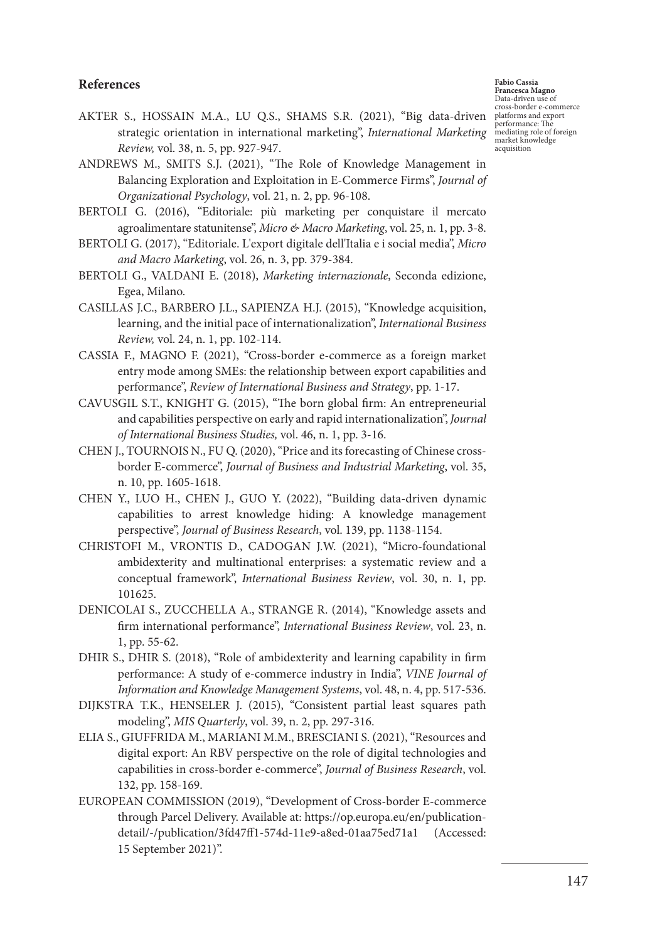### **References**

**Fabio Cassia Francesca Magno** Data-driven use of cross-border e-commerce platforms and export performance: The mediating role of foreign market knowledge acquisition

- AKTER S., HOSSAIN M.A., LU Q.S., SHAMS S.R. (2021), "Big data-driven strategic orientation in international marketing", *International Marketing Review,* vol. 38, n. 5, pp. 927-947.
- ANDREWS M., SMITS S.J. (2021), "The Role of Knowledge Management in Balancing Exploration and Exploitation in E-Commerce Firms", *Journal of Organizational Psychology*, vol. 21, n. 2, pp. 96-108.
- BERTOLI G. (2016), "Editoriale: più marketing per conquistare il mercato agroalimentare statunitense", *Micro & Macro Marketing*, vol. 25, n. 1, pp. 3-8.
- BERTOLI G. (2017), "Editoriale. L'export digitale dell'Italia e i social media", *Micro and Macro Marketing*, vol. 26, n. 3, pp. 379-384.
- BERTOLI G., VALDANI E. (2018), *Marketing internazionale*, Seconda edizione, Egea, Milano.
- CASILLAS J.C., BARBERO J.L., SAPIENZA H.J. (2015), "Knowledge acquisition, learning, and the initial pace of internationalization", *International Business Review,* vol. 24, n. 1, pp. 102-114.
- CASSIA F., MAGNO F. (2021), "Cross-border e-commerce as a foreign market entry mode among SMEs: the relationship between export capabilities and performance", *Review of International Business and Strategy*, pp. 1-17.
- CAVUSGIL S.T., KNIGHT G. (2015), "The born global firm: An entrepreneurial and capabilities perspective on early and rapid internationalization", *Journal of International Business Studies,* vol. 46, n. 1, pp. 3-16.
- CHEN J., TOURNOIS N., FU Q. (2020), "Price and its forecasting of Chinese crossborder E-commerce", *Journal of Business and Industrial Marketing*, vol. 35, n. 10, pp. 1605-1618.
- CHEN Y., LUO H., CHEN J., GUO Y. (2022), "Building data-driven dynamic capabilities to arrest knowledge hiding: A knowledge management perspective", *Journal of Business Research*, vol. 139, pp. 1138-1154.
- CHRISTOFI M., VRONTIS D., CADOGAN J.W. (2021), "Micro-foundational ambidexterity and multinational enterprises: a systematic review and a conceptual framework", *International Business Review*, vol. 30, n. 1, pp. 101625.
- DENICOLAI S., ZUCCHELLA A., STRANGE R. (2014), "Knowledge assets and firm international performance", *International Business Review*, vol. 23, n. 1, pp. 55-62.
- DHIR S., DHIR S. (2018), "Role of ambidexterity and learning capability in firm performance: A study of e-commerce industry in India", *VINE Journal of Information and Knowledge Management Systems*, vol. 48, n. 4, pp. 517-536.
- DIJKSTRA T.K., HENSELER J. (2015), "Consistent partial least squares path modeling", *MIS Quarterly*, vol. 39, n. 2, pp. 297-316.
- ELIA S., GIUFFRIDA M., MARIANI M.M., BRESCIANI S. (2021), "Resources and digital export: An RBV perspective on the role of digital technologies and capabilities in cross-border e-commerce", *Journal of Business Research*, vol. 132, pp. 158-169.
- EUROPEAN COMMISSION (2019), "Development of Cross-border E-commerce through Parcel Delivery. Available at: https://op.europa.eu/en/publicationdetail/-/publication/3fd47ff1-574d-11e9-a8ed-01aa75ed71a1 (Accessed: 15 September 2021)".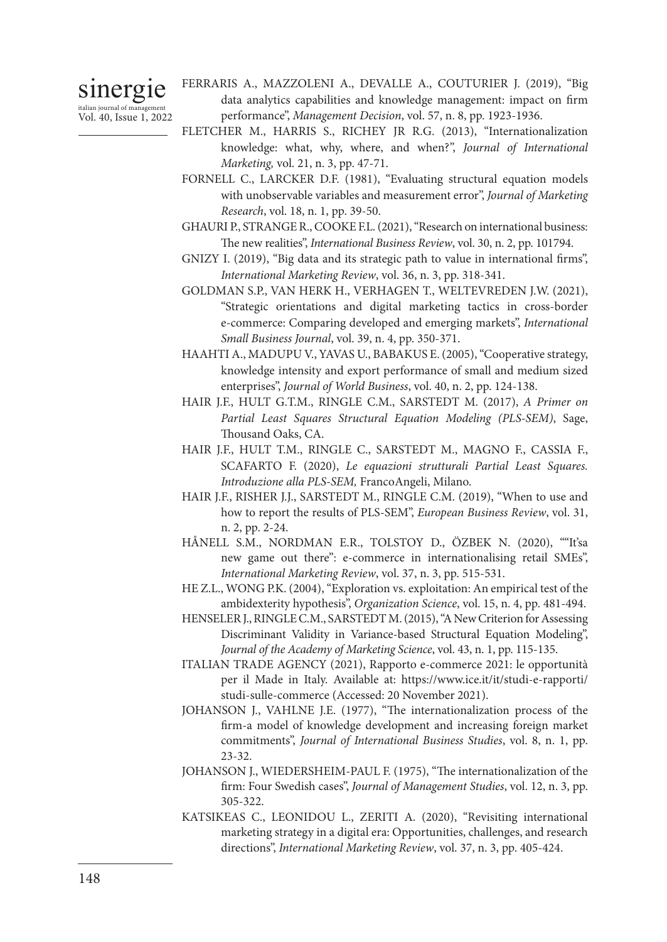sinergie italian journal of management Vol. 40, Issue 1, 2022 FERRARIS A., MAZZOLENI A., DEVALLE A., COUTURIER J. (2019), "Big data analytics capabilities and knowledge management: impact on firm performance", *Management Decision*, vol. 57, n. 8, pp. 1923-1936.

- FLETCHER M., HARRIS S., RICHEY JR R.G. (2013), "Internationalization knowledge: what, why, where, and when?", *Journal of International Marketing,* vol. 21, n. 3, pp. 47-71.
- FORNELL C., LARCKER D.F. (1981), "Evaluating structural equation models with unobservable variables and measurement error", *Journal of Marketing Research*, vol. 18, n. 1, pp. 39-50.
- GHAURI P., STRANGE R., COOKE F.L. (2021), "Research on international business: The new realities", *International Business Review*, vol. 30, n. 2, pp. 101794.
- GNIZY I. (2019), "Big data and its strategic path to value in international firms", *International Marketing Review*, vol. 36, n. 3, pp. 318-341.
- GOLDMAN S.P., VAN HERK H., VERHAGEN T., WELTEVREDEN J.W. (2021), "Strategic orientations and digital marketing tactics in cross-border e-commerce: Comparing developed and emerging markets", *International Small Business Journal*, vol. 39, n. 4, pp. 350-371.
- HAAHTI A., MADUPU V., YAVAS U., BABAKUS E. (2005), "Cooperative strategy, knowledge intensity and export performance of small and medium sized enterprises", *Journal of World Business*, vol. 40, n. 2, pp. 124-138.
- HAIR J.F., HULT G.T.M., RINGLE C.M., SARSTEDT M. (2017), *A Primer on Partial Least Squares Structural Equation Modeling (PLS-SEM)*, Sage, Thousand Oaks, CA.
- HAIR J.F., HULT T.M., RINGLE C., SARSTEDT M., MAGNO F., CASSIA F., SCAFARTO F. (2020), *Le equazioni strutturali Partial Least Squares. Introduzione alla PLS-SEM,* FrancoAngeli, Milano.
- HAIR J.F., RISHER J.J., SARSTEDT M., RINGLE C.M. (2019), "When to use and how to report the results of PLS-SEM", *European Business Review*, vol. 31, n. 2, pp. 2-24.
- HÅNELL S.M., NORDMAN E.R., TOLSTOY D., ÖZBEK N. (2020), ""It'sa new game out there": e-commerce in internationalising retail SMEs", *International Marketing Review*, vol. 37, n. 3, pp. 515-531.
- HE Z.L., WONG P.K. (2004), "Exploration vs. exploitation: An empirical test of the ambidexterity hypothesis", *Organization Science*, vol. 15, n. 4, pp. 481-494.
- HENSELER J., RINGLE C.M., SARSTEDT M. (2015), "A New Criterion for Assessing Discriminant Validity in Variance-based Structural Equation Modeling", *Journal of the Academy of Marketing Science*, vol. 43, n. 1, pp. 115-135.
- ITALIAN TRADE AGENCY (2021), Rapporto e-commerce 2021: le opportunità per il Made in Italy. Available at: https://www.ice.it/it/studi-e-rapporti/ studi-sulle-commerce (Accessed: 20 November 2021).
- JOHANSON J., VAHLNE J.E. (1977), "The internationalization process of the firm-a model of knowledge development and increasing foreign market commitments", *Journal of International Business Studies*, vol. 8, n. 1, pp. 23-32.
- JOHANSON J., WIEDERSHEIM-PAUL F. (1975), "The internationalization of the firm: Four Swedish cases", *Journal of Management Studies*, vol. 12, n. 3, pp. 305-322.
- KATSIKEAS C., LEONIDOU L., ZERITI A. (2020), "Revisiting international marketing strategy in a digital era: Opportunities, challenges, and research directions", *International Marketing Review*, vol. 37, n. 3, pp. 405-424.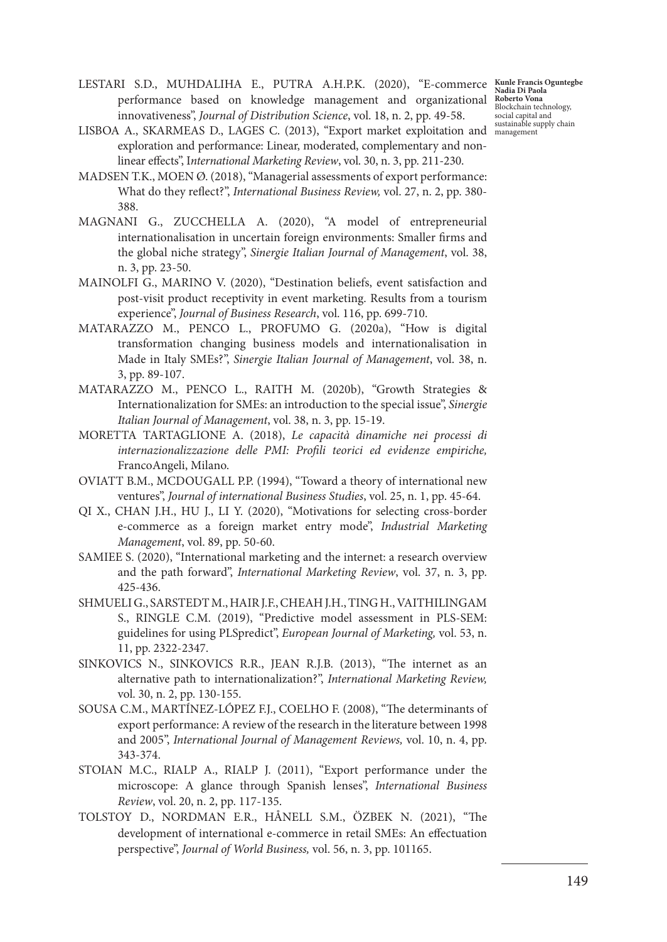LESTARI S.D., MUHDALIHA E., PUTRA A.H.P.K. (2020), "E-commerce performance based on knowledge management and organizational innovativeness", Journal of Distribution Science, vol. 18, n. 2, pp. 49-58. innovativeness", *Journal of Distribution Science*, vol. 18, n. 2, pp. 49-58.

- LISBOA A., SKARMEAS D., LAGES C. (2013), "Export market exploitation and exploration and performance: Linear, moderated, complementary and nonlinear effects", I*nternational Marketing Review*, vol. 30, n. 3, pp. 211-230.
- MADSEN T.K., MOEN Ø. (2018), "Managerial assessments of export performance: What do they reflect?", *International Business Review,* vol. 27, n. 2, pp. 380- 388.
- MAGNANI G., ZUCCHELLA A. (2020), "A model of entrepreneurial internationalisation in uncertain foreign environments: Smaller firms and the global niche strategy", *Sinergie Italian Journal of Management*, vol. 38, n. 3, pp. 23-50.
- MAINOLFI G., MARINO V. (2020), "Destination beliefs, event satisfaction and post-visit product receptivity in event marketing. Results from a tourism experience", *Journal of Business Research*, vol. 116, pp. 699-710.
- MATARAZZO M., PENCO L., PROFUMO G. (2020a), "How is digital transformation changing business models and internationalisation in Made in Italy SMEs?", *Sinergie Italian Journal of Management*, vol. 38, n. 3, pp. 89-107.
- MATARAZZO M., PENCO L., RAITH M. (2020b), "Growth Strategies & Internationalization for SMEs: an introduction to the special issue", *Sinergie Italian Journal of Management*, vol. 38, n. 3, pp. 15-19.
- MORETTA TARTAGLIONE A. (2018), *Le capacità dinamiche nei processi di internazionalizzazione delle PMI: Profili teorici ed evidenze empiriche,*  FrancoAngeli, Milano.
- OVIATT B.M., MCDOUGALL P.P. (1994), "Toward a theory of international new ventures", *Journal of international Business Studies*, vol. 25, n. 1, pp. 45-64.
- QI X., CHAN J.H., HU J., LI Y. (2020), "Motivations for selecting cross-border e-commerce as a foreign market entry mode", *Industrial Marketing Management*, vol. 89, pp. 50-60.
- SAMIEE S. (2020), "International marketing and the internet: a research overview and the path forward", *International Marketing Review*, vol. 37, n. 3, pp. 425-436.
- SHMUELI G., SARSTEDT M., HAIR J.F., CHEAH J.H., TING H., VAITHILINGAM S., RINGLE C.M. (2019), "Predictive model assessment in PLS-SEM: guidelines for using PLSpredict", *European Journal of Marketing,* vol. 53, n. 11, pp. 2322-2347.
- SINKOVICS N., SINKOVICS R.R., JEAN R.J.B. (2013), "The internet as an alternative path to internationalization?", *International Marketing Review,*  vol. 30, n. 2, pp. 130-155.
- SOUSA C.M., MARTÍNEZ‐LÓPEZ F.J., COELHO F. (2008), "The determinants of export performance: A review of the research in the literature between 1998 and 2005", *International Journal of Management Reviews,* vol. 10, n. 4, pp. 343-374.
- STOIAN M.C., RIALP A., RIALP J. (2011), "Export performance under the microscope: A glance through Spanish lenses", *International Business Review*, vol. 20, n. 2, pp. 117-135.
- TOLSTOY D., NORDMAN E.R., HÅNELL S.M., ÖZBEK N. (2021), "The development of international e-commerce in retail SMEs: An effectuation perspective", *Journal of World Business,* vol. 56, n. 3, pp. 101165.

**Kunle Francis Oguntegbe Nadia Di Paola Roberto Vona** Blockchain technology, social capital and sustainable supply chain management